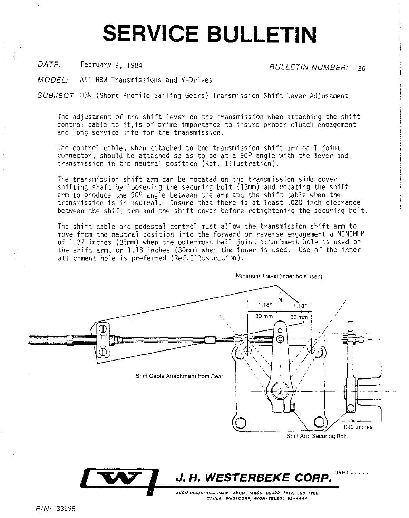## **SERVICE BULLETIN**

DATE: February 9, 1984 BULLETIN NUMBER: 136

MODEL: All HBW Transmissions and V-Drives

SUBJECT: HBW (Short Profile Sailing Gears) Transmission Shift Lever Adjustment

The adjustment of the shift lever on the transmission when attaching the shift control cable to it,is of prime importance to insure proper clutch engagement and long service life for the transmission.

The control cable, when attached to the transmission shift arm ball joint connector, should be attached so as to be at a 900 angle with the lever and transmission in the neutral position (Ref. Illustration).

The transmission shift arm can be rotated on the transmission side cover shifting shaft by loosening the securing bolt (13mm) and rotating the shift arm to produce the 90<sup>0</sup> angle between the arm and the shift cable when the transmission is in neutral. Insure that there is at least .020 inch clearance between the shift arm and the shift cover before retightening the securing bolt.

The shift cable and pedestal control must allow the transmission shift arm to move from the neutral position into the forward or reverse engagement a MINIMUM of 1.37 inches (35mm) when the outermost ball joint attachment hole is used on the shift arm, or 1.18 inches (30mm) when the inner is used. Use of the inner attachment hole is preferred (Ref. Illustration).



**Minimum Travel (inner hole used)** 

 $P/N: 33595$